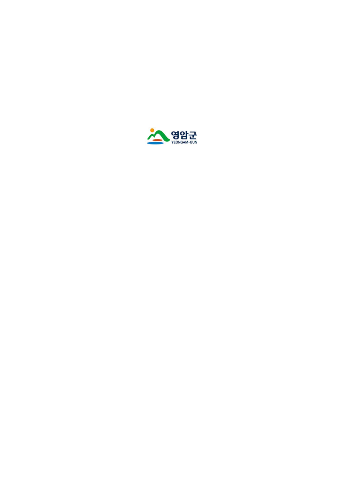